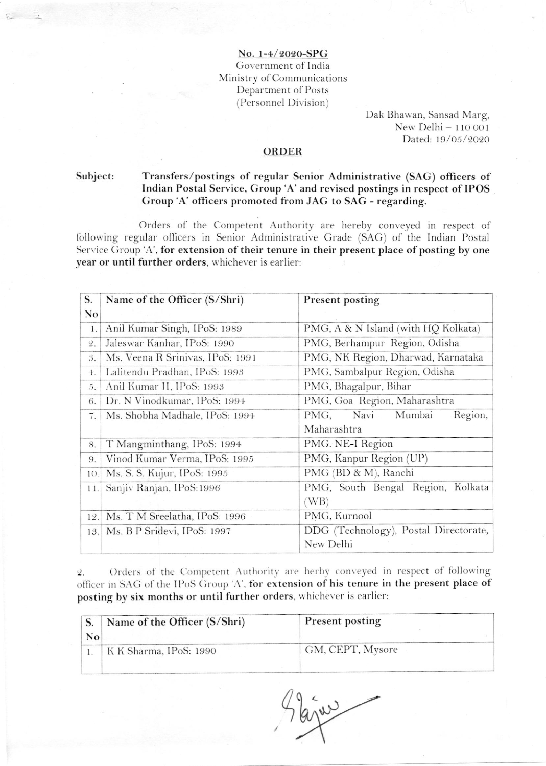No. 1-4/2020-SPG Government of India Ministry of Communications Department of Posts (Personnel Division)

> Dak Bhawan, Sansad Marg, New Delhi - 110 001 Dated: 19/05/2020

## ORDER

Subject: Transfers/postings of regular Senior Administrative (SAG) officers of Indian Postal Service, Group 'A' and revised postings in respect of IPOS Group 'A' officers promoted from JAG to SAG - regarding.

Orders of the Competent Authority are hereby conveyed in respect of following regular officers in Senior Administrative Grade (SAG) of the Indian Postal Service Group 'A', for extension of their tenure in their present place of posting by one year or until further orders, whichever is earlier:

| S.              | Name of the Officer (S/Shri)<br>Present posting |                                       |  |  |  |
|-----------------|-------------------------------------------------|---------------------------------------|--|--|--|
| No              |                                                 |                                       |  |  |  |
| 1.              | Anil Kumar Singh, IPoS: 1989                    | PMG, A & N Island (with HQ Kolkata)   |  |  |  |
| $\mathcal{Q}$ . | Jaleswar Kanhar, IPoS: 1990                     | PMG, Berhampur Region, Odisha         |  |  |  |
| 3.              | Ms. Veena R Srinivas, IPoS: 1991                | PMG, NK Region, Dharwad, Karnataka    |  |  |  |
| $+$ .           | Lalitendu Pradhan, IPoS: 1993                   | PMG, Sambalpur Region, Odisha         |  |  |  |
| 5.              | Anil Kumar II, IPoS: 1993                       | PMG, Bhagalpur, Bihar                 |  |  |  |
| 6.              | Dr. N Vinodkumar, IPoS: 1994                    | PMG, Goa Region, Maharashtra          |  |  |  |
| 7.              | Ms. Shobha Madhale, IPoS: 1994                  | PMG, Navi<br>Mumbai<br>Region,        |  |  |  |
|                 |                                                 | Maharashtra                           |  |  |  |
| 8.              | T Mangminthang, IPoS: 1994                      | PMG. NE-I Region                      |  |  |  |
| 9.              | Vinod Kumar Verma, IPoS: 1995                   | PMG, Kanpur Region (UP)               |  |  |  |
| 10.             | Ms. S. S. Kujur, IPoS: 1995                     | PMG (BD & M), Ranchi                  |  |  |  |
| 11.             | Sanjiv Ranjan, IPoS: 1996                       | PMG, South Bengal Region, Kolkata     |  |  |  |
|                 |                                                 | (WB)                                  |  |  |  |
| 12.             | Ms. T M Sreelatha, IPoS: 1996                   | PMG, Kurnool                          |  |  |  |
| 13.             | Ms. B P Sridevi, IPoS: 1997                     | DDG (Technology), Postal Directorate, |  |  |  |
|                 |                                                 | New Delhi                             |  |  |  |

Orders of the Competent Authority are herby conveyed in respect of following  $\overline{2}$ . officer in SAG of the IPoS Group 'A', for extension of his tenure in the present place of posting by six months or until further orders, whichever is earlier:

|    | Name of the Officer (S/Shri) | <b>Present posting</b> |  |  |
|----|------------------------------|------------------------|--|--|
| No |                              |                        |  |  |
|    | K K Sharma, IPoS: 1990       | GM, CEPT, Mysore       |  |  |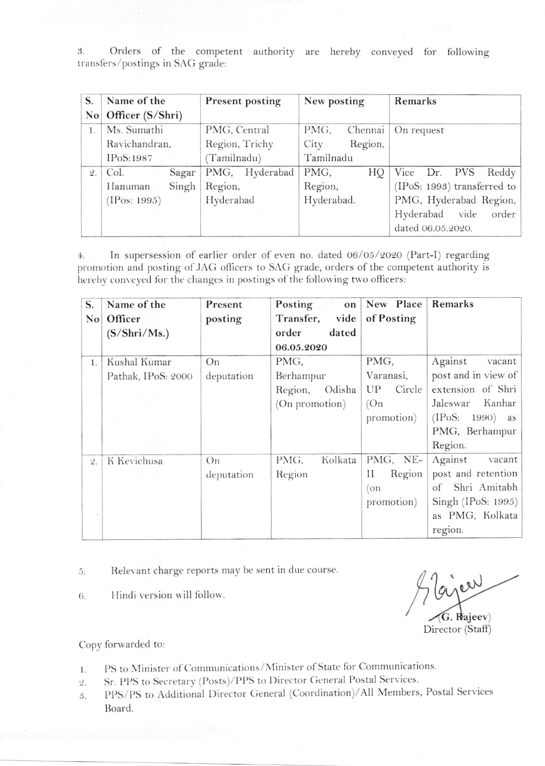3. Orders of the competent authority are hereby conveyed for following transfers/postings in SAG grade:

| S.<br>$\overline{N_0}$ | Name of the<br>Officer (S/Shri) | <b>Present posting</b> | New posting     | Remarks                     |  |
|------------------------|---------------------------------|------------------------|-----------------|-----------------------------|--|
| 1.                     | Ms. Sumathi                     | PMG, Central           | Chennai<br>PMG, | On request                  |  |
|                        | Ravichandran,                   | Region, Trichy         | City<br>Region, |                             |  |
|                        | IPoS: 1987                      | (Tamilnadu)            | Tamilnadu       |                             |  |
| $2$ .                  | Col.<br>Sagar                   | Hyderabad<br>PMG,      | PMG,<br>НQ      | Vice Dr. PVS<br>Reddy       |  |
|                        | Singh<br>Hanuman                | Region,                | Region;         | (IPoS: 1993) transferred to |  |
|                        | (IPos: 1995)                    | Hyderabad              | Hyderabad.      | PMG, Hyderabad Region,      |  |
|                        |                                 |                        |                 | Hyderabad vide<br>order     |  |
|                        |                                 |                        |                 | dated 06.05.2020.           |  |

In supersession of earlier order of even no. dated 06/05/2020 (Part-I) regarding  $4.$ promotion and posting of JAG officers to SAG grade, orders of the competent authority is hereby conveyed for the changes in postings of the following two officers:

| S.                     | Name of the        | Present    | Posting<br>on     | New Place    | Remarks                       |
|------------------------|--------------------|------------|-------------------|--------------|-------------------------------|
| $\mathbf{N}\mathbf{o}$ | Officer            | posting    | vide<br>Transfer, | of Posting   |                               |
|                        | (S/Shri/Ms.)       |            | order<br>dated    |              |                               |
|                        |                    |            | 06.05.2020        |              |                               |
| $\mathbf{1}$ .         | Kushal Kumar       | On         | PMG,              | PMG,         | Against<br>vacant             |
|                        | Pathak, IPoS: 2000 | deputation | Berhampur         | Varanasi,    | post and in view of           |
|                        |                    |            | Odisha<br>Region, | Circle<br>UP | extension of Shri             |
|                        |                    |            | (On promotion)    | (On          | Kanhar<br>Jaleswar            |
|                        |                    |            |                   | promotion)   | (IPoS: 1990)<br>as            |
|                        |                    |            |                   |              | PMG, Berhampur                |
|                        |                    |            |                   |              | Region.                       |
| 2.                     | K Kevichusa        | On         | Kolkata<br>PMG,   | PMG, NE-     | Against<br>vacant             |
|                        |                    | deputation | Region            | Н<br>Region  | post and retention            |
|                        |                    |            |                   | on           | Shri Amitabh<br><sub>of</sub> |
|                        |                    |            |                   | promotion)   | Singh (IPoS: 1995)            |
|                        |                    |            |                   |              | as PMG, Kolkata               |
|                        |                    |            |                   |              | region.                       |

Relevant charge reports may be sent in due course. 5.

Hindi version will follow. 6.

er  $\mathbf{G}$ . Rajeev) Director (Staff)

Copy forwarded to:

- PS to Minister of Communications/Minister of State for Communications. 1.
- Sr. PPS to Secretary (Posts)/PPS to Director General Postal Services.  $\mathcal{Q}$ .
- PPS/PS to Additional Director General (Coordination)/All Members, Postal Services 3. Board.